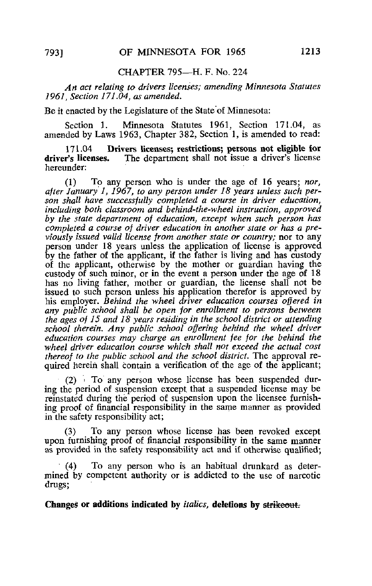## CHAPTER 795—H, F, No. 224

An act relating to drivers licenses; amending Minnesota Statutes 1961, Section 171.04, as amended.

Be it enacted by the Legislature of the State of Minnesota:

Section 1. Minnesota Statutes 1961, Section 171.04, as amended by Laws 1963, Chapter 382, Section 1, is amended to read:

171.04 Drivers licenses; restrictions; persons not eligible for<br>driver's licenses. The department shall not issue a driver's license The department shall not issue a driver's license hereunder:

(1) To any person who is under the age of 16 years; nor, after January 1, 1967, to any person under 18 years unless such person shall have successfully completed a course in driver education, including both classroom and behind-the-wheel instruction, approved by the state department of education, except when such person has completed a course of driver education in another state or has a previously issued valid license from another state or country; nor to any person under 18 years unless the application of license is approved by the father of the applicant, if the father is living and has custody of the applicant, otherwise by the mother or guardian having the custody of such minor, or in the event a person under the age of 18 has no living father, mother or guardian, the license shall not be issued to such person unless his application therefor is approved by his employer. Behind the wheel driver education courses offered in any public school shall be open for enrollment to persons between the ages of 15 and 18 years residing in the school district or attending school therein. Any public school offering behind the wheel driver education courses may charge an enrollment fee for the behind the wheel driver education course which shall not exceed the actual cost thereof to the public school and the school district. The approval required herein shall contain a verification of the age of the applicant;

(2) > To any person whose license has been suspended during the period of suspension except that a suspended license may be reinstated during the period of suspension upon the licensee furnishing proof of financial responsibility in the same manner as provided in the safety responsibility act;

(3) To any person whose license has been revoked except upon furnishing proof of financial responsibility in the same manner as provided in the safety responsibility act and if otherwise qualified;

(4) To any person who is an habitual drunkard as determined by competent authority or is addicted to the use of narcotic drugs;

Changes or additions indicated by *italics*, deletions by strikeout.